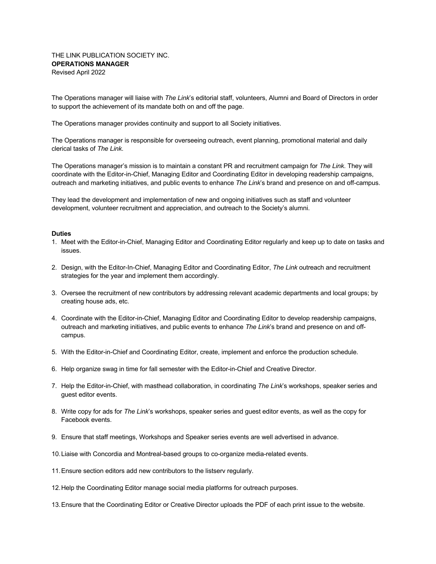The Operations manager will liaise with *The Link*'s editorial staff, volunteers, Alumni and Board of Directors in order to support the achievement of its mandate both on and off the page.

The Operations manager provides continuity and support to all Society initiatives.

The Operations manager is responsible for overseeing outreach, event planning, promotional material and daily clerical tasks of *The Link*.

The Operations manager's mission is to maintain a constant PR and recruitment campaign for *The Link*. They will coordinate with the Editor-in-Chief, Managing Editor and Coordinating Editor in developing readership campaigns, outreach and marketing initiatives, and public events to enhance *The Link*'s brand and presence on and off-campus.

They lead the development and implementation of new and ongoing initiatives such as staff and volunteer development, volunteer recruitment and appreciation, and outreach to the Society's alumni.

## **Duties**

- 1. Meet with the Editor-in-Chief, Managing Editor and Coordinating Editor regularly and keep up to date on tasks and issues.
- 2. Design, with the Editor-In-Chief, Managing Editor and Coordinating Editor, *The Link* outreach and recruitment strategies for the year and implement them accordingly.
- 3. Oversee the recruitment of new contributors by addressing relevant academic departments and local groups; by creating house ads, etc.
- 4. Coordinate with the Editor-in-Chief, Managing Editor and Coordinating Editor to develop readership campaigns, outreach and marketing initiatives, and public events to enhance *The Link*'s brand and presence on and offcampus.
- 5. With the Editor-in-Chief and Coordinating Editor, create, implement and enforce the production schedule.
- 6. Help organize swag in time for fall semester with the Editor-in-Chief and Creative Director.
- 7. Help the Editor-in-Chief, with masthead collaboration, in coordinating *The Link*'s workshops, speaker series and guest editor events.
- 8. Write copy for ads for *The Link*'s workshops, speaker series and guest editor events, as well as the copy for Facebook events.
- 9. Ensure that staff meetings, Workshops and Speaker series events are well advertised in advance.
- 10.Liaise with Concordia and Montreal-based groups to co-organize media-related events.
- 11.Ensure section editors add new contributors to the listserv regularly.
- 12.Help the Coordinating Editor manage social media platforms for outreach purposes.
- 13.Ensure that the Coordinating Editor or Creative Director uploads the PDF of each print issue to the website.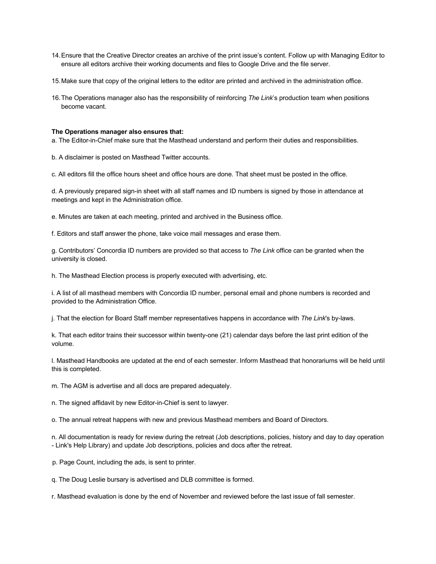- 14.Ensure that the Creative Director creates an archive of the print issue's content. Follow up with Managing Editor to ensure all editors archive their working documents and files to Google Drive and the file server.
- 15.Make sure that copy of the original letters to the editor are printed and archived in the administration office.
- 16.The Operations manager also has the responsibility of reinforcing *The Link*'s production team when positions become vacant.

## **The Operations manager also ensures that:**

a. The Editor-in-Chief make sure that the Masthead understand and perform their duties and responsibilities.

b. A disclaimer is posted on Masthead Twitter accounts.

c. All editors fill the office hours sheet and office hours are done. That sheet must be posted in the office.

d. A previously prepared sign-in sheet with all staff names and ID numbers is signed by those in attendance at meetings and kept in the Administration office.

e. Minutes are taken at each meeting, printed and archived in the Business office.

f. Editors and staff answer the phone, take voice mail messages and erase them.

g. Contributors' Concordia ID numbers are provided so that access to *The Link* office can be granted when the university is closed.

h. The Masthead Election process is properly executed with advertising, etc.

i. A list of all masthead members with Concordia ID number, personal email and phone numbers is recorded and provided to the Administration Office.

j. That the election for Board Staff member representatives happens in accordance with *The Link*'s by-laws.

k. That each editor trains their successor within twenty-one (21) calendar days before the last print edition of the volume.

l. Masthead Handbooks are updated at the end of each semester. Inform Masthead that honorariums will be held until this is completed.

m. The AGM is advertise and all docs are prepared adequately.

n. The signed affidavit by new Editor-in-Chief is sent to lawyer.

o. The annual retreat happens with new and previous Masthead members and Board of Directors.

n. All documentation is ready for review during the retreat (Job descriptions, policies, history and day to day operation - Link's Help Library) and update Job descriptions, policies and docs after the retreat.

p. Page Count, including the ads, is sent to printer.

q. The Doug Leslie bursary is advertised and DLB committee is formed.

r. Masthead evaluation is done by the end of November and reviewed before the last issue of fall semester.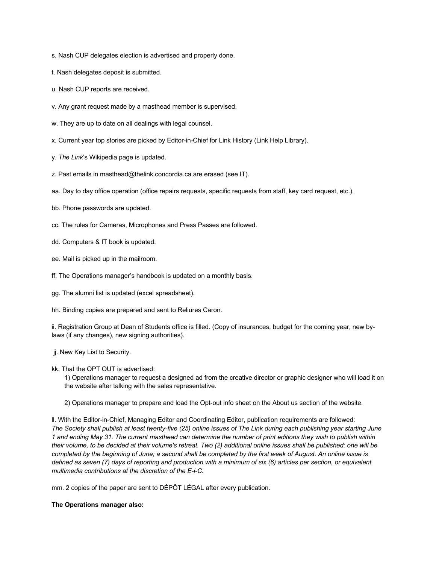- s. Nash CUP delegates election is advertised and properly done.
- t. Nash delegates deposit is submitted.
- u. Nash CUP reports are received.
- v. Any grant request made by a masthead member is supervised.
- w. They are up to date on all dealings with legal counsel.
- x. Current year top stories are picked by Editor-in-Chief for Link History (Link Help Library).
- y. *The Link*'s Wikipedia page is updated.
- z. Past emails in masthead@thelink.concordia.ca are erased (see IT).
- aa. Day to day office operation (office repairs requests, specific requests from staff, key card request, etc.).
- bb. Phone passwords are updated.
- cc. The rules for Cameras, Microphones and Press Passes are followed.
- dd. Computers & IT book is updated.
- ee. Mail is picked up in the mailroom.
- ff. The Operations manager's handbook is updated on a monthly basis.
- gg. The alumni list is updated (excel spreadsheet).
- hh. Binding copies are prepared and sent to Reliures Caron.

ii. Registration Group at Dean of Students office is filled. (Copy of insurances, budget for the coming year, new bylaws (if any changes), new signing authorities).

- jj. New Key List to Security.
- kk. That the OPT OUT is advertised:
	- 1) Operations manager to request a designed ad from the creative director or graphic designer who will load it on the website after talking with the sales representative.
	- 2) Operations manager to prepare and load the Opt-out info sheet on the About us section of the website.

ll. With the Editor-in-Chief, Managing Editor and Coordinating Editor, publication requirements are followed: *The Society shall publish at least twenty-five (25) online issues of The Link during each publishing year starting June 1 and ending May 31. The current masthead can determine the number of print editions they wish to publish within their volume, to be decided at their volume's retreat. Two (2) additional online issues shall be published: one will be completed by the beginning of June; a second shall be completed by the first week of August. An online issue is defined as seven (7) days of reporting and production with a minimum of six (6) articles per section, or equivalent multimedia contributions at the discretion of the E-i-C.*

mm. 2 copies of the paper are sent to DÉPÔT LÉGAL after every publication.

## **The Operations manager also:**